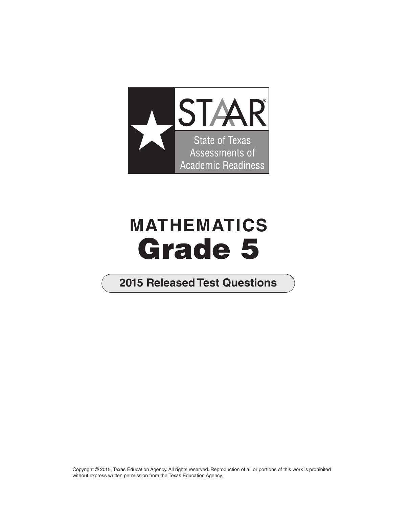

## **MATHEMATICS Grade 5**

## **2015 Released Test Questions**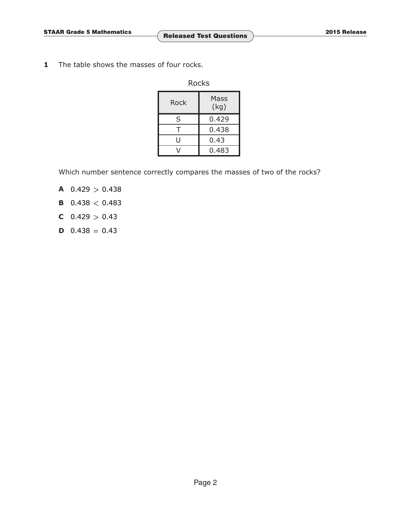**1** The table shows the masses of four rocks.

| Rocks |              |  |  |  |  |
|-------|--------------|--|--|--|--|
| Rock  | Mass<br>(kg) |  |  |  |  |
| S     | 0.429        |  |  |  |  |
| т     | 0.438        |  |  |  |  |
| U     | 0.43         |  |  |  |  |
|       | 0.483        |  |  |  |  |

Which number sentence correctly compares the masses of two of the rocks?

- **A**  $0.429 > 0.438$
- **B**  $0.438 < 0.483$
- **C**  $0.429 > 0.43$
- **D**  $0.438 = 0.43$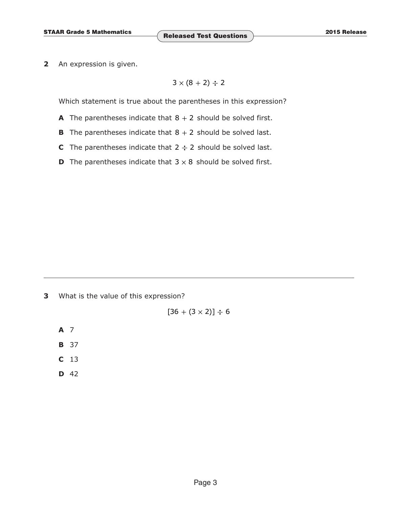**2** An expression is given.

$$
3\times(8+2)\div 2
$$

Which statement is true about the parentheses in this expression?

- **A** The parentheses indicate that  $8 + 2$  should be solved first.
- **B** The parentheses indicate that  $8 + 2$  should be solved last.
- **C** The parentheses indicate that  $2 \div 2$  should be solved last.
- **D** The parentheses indicate that  $3 \times 8$  should be solved first.

**3** What is the value of this expression?

$$
[36 + (3 \times 2)] \div 6
$$

- **A** 7
- **B** 37
- **C** 13
- **D** 42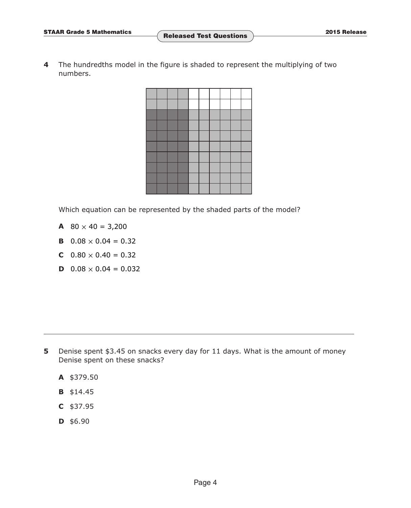**4** The hundredths model in the figure is shaded to represent the multiplying of two numbers.



Which equation can be represented by the shaded parts of the model?

- **A**  $80 \times 40 = 3,200$
- **B**  $0.08 \times 0.04 = 0.32$
- **C**  $0.80 \times 0.40 = 0.32$
- **D**  $0.08 \times 0.04 = 0.032$

- **5** Denise spent \$3.45 on snacks every day for 11 days. What is the amount of money Denise spent on these snacks?
	- **A** \$379.50
	- **B** \$14.45
	- **C** \$37.95
	- **D** \$6.90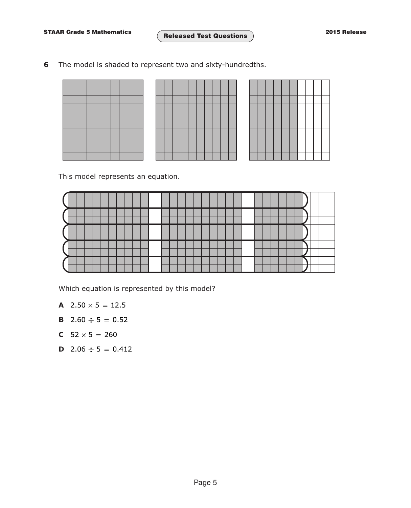**6** The model is shaded to represent two and sixty-hundredths.

This model represents an equation.



Which equation is represented by this model?

- **A**  $2.50 \times 5 = 12.5$
- **B** 2.60  $\div$  5 = 0.52
- **C**  $52 \times 5 = 260$
- **D** 2.06  $\div$  5 = 0.412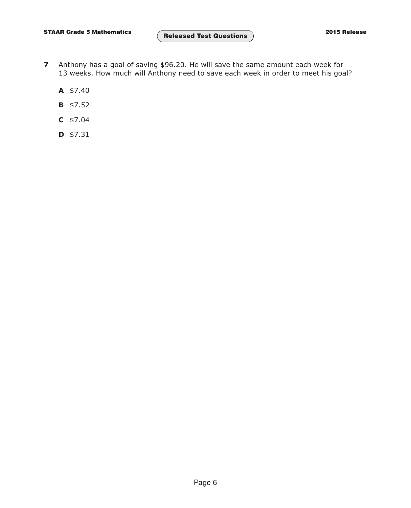- **7** Anthony has a goal of saving \$96.20. He will save the same amount each week for 13 weeks. How much will Anthony need to save each week in order to meet his goal?
	- **A** \$7.40
	- **B** \$7.52
	- **C** \$7.04
	- **D** \$7.31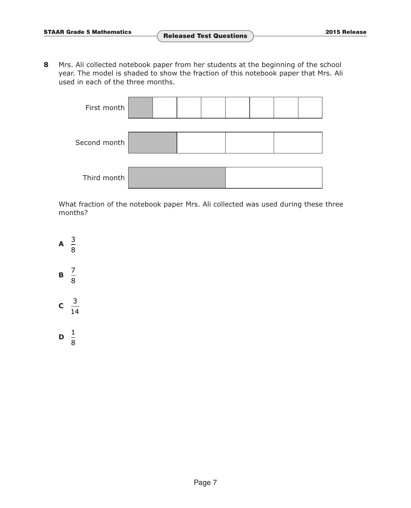**8** Mrs. Ali collected notebook paper from her students at the beginning of the school year. The model is shaded to show the fraction of this notebook paper that Mrs. Ali used in each of the three months.

| First month  |  |  |  |  |
|--------------|--|--|--|--|
| Second month |  |  |  |  |
| Third month  |  |  |  |  |

What fraction of the notebook paper Mrs. Ali collected was used during these three months?

 $\mathsf{A} \quad \frac{3}{5}$ 8  $\mathbf{B} \quad \frac{7}{5}$ 8  $\frac{3}{2}$ 14

 $\frac{1}{2}$ 8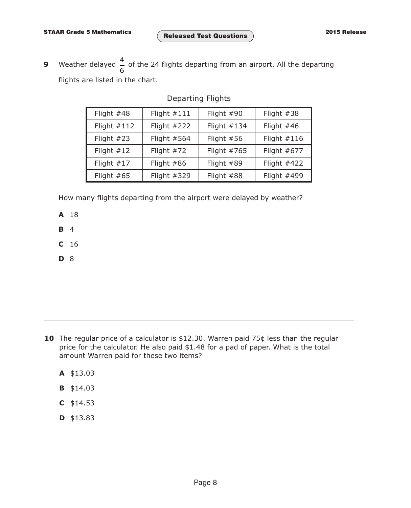Г

٦

**9** Weather delayed  $\frac{4}{6}$  of the 24 flights departing from an airport. All the departing flights are listed in the chart.

| Departing Flights |            |  |  |  |
|-------------------|------------|--|--|--|
| Flight $#111$     | Flight #90 |  |  |  |
|                   |            |  |  |  |

| Flight $#48$  | Flight $\#111$ | Flight $#90$  | Flight $#38$  |
|---------------|----------------|---------------|---------------|
| Flight $#112$ | Flight $#222$  | Flight $#134$ | Flight $#46$  |
| Flight $#23$  | Flight $#564$  | Flight $#56$  | Flight $#116$ |
| Flight $#12$  | Flight $#72$   | Flight #765   | Flight $#677$ |
| Flight $#17$  | Flight $#86$   | Flight #89    | Flight #422   |
| Flight $#65$  | Flight #329    | Flight #88    | Flight #499   |

How many flights departing from the airport were delayed by weather?

**A** 18

**B** 4

**C** 16

**D** 8

- **10** The regular price of a calculator is \$12.30. Warren paid 75¢ less than the regular price for the calculator. He also paid \$1.48 for a pad of paper. What is the total amount Warren paid for these two items?
	- **A** \$13.03
	- **B** \$14.03
	- **C** \$14.53
	- **D** \$13.83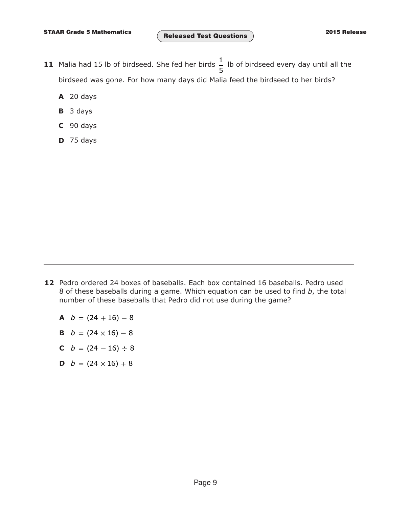- **11** Malia had 15 lb of birdseed. She fed her birds  $\frac{1}{5}$  lb of birdseed every day until all the birdseed was gone. For how many days did Malia feed the birdseed to her birds?
	- **A** 20 days
	- **B** 3 days
	- **C** 90 days
	- **D** 75 days

- **12** Pedro ordered 24 boxes of baseballs. Each box contained 16 baseballs. Pedro used 8 of these baseballs during a game. Which equation can be used to find *b*, the total number of these baseballs that Pedro did not use during the game?
	- $A$  *b* =  $(24 + 16) 8$
	- **B**  $b = (24 \times 16) 8$
	- **C**  $b = (24 16) \div 8$
	- **D**  $b = (24 \times 16) + 8$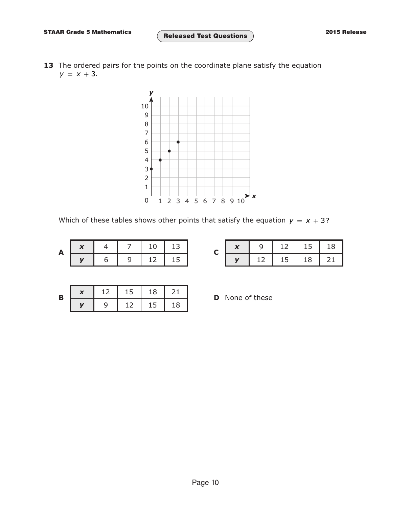13 The ordered pairs for the points on the coordinate plane satisfy the equation  $y = x + 3$ .



Which of these tables shows other points that satisfy the equation  $y = x + 3$ ?

| A |  |  |  |
|---|--|--|--|

|  |    | 12 | 15 | 18  |
|--|----|----|----|-----|
|  | 12 | 15 | 18 | -21 |

| Β | 12 | 15 | 18 | -21. |
|---|----|----|----|------|
|   |    | 12 | 15 | 18   |

**D** None of these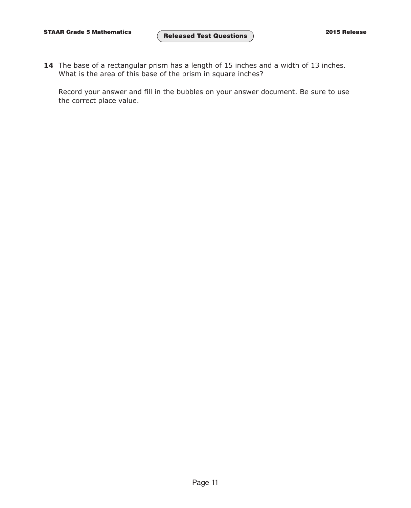**14** The base of a rectangular prism has a length of 15 inches and a width of 13 inches. What is the area of this base of the prism in square inches?

Record your answer and fill in the bubbles on your answer document. Be sure to use the correct place value.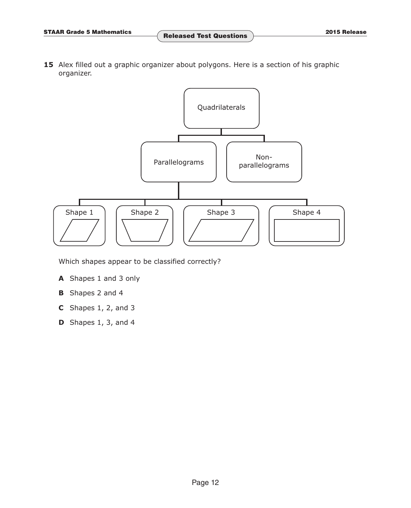15 Alex filled out a graphic organizer about polygons. Here is a section of his graphic organizer.



Which shapes appear to be classified correctly?

- **A** Shapes 1 and 3 only
- **B** Shapes 2 and 4
- **C** Shapes 1, 2, and 3
- **D** Shapes 1, 3, and 4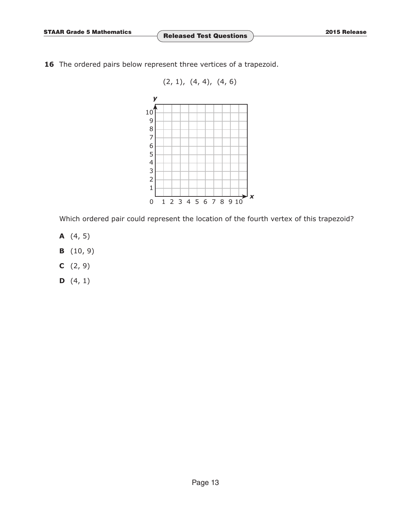**STAAR Grade 5 Mathematics 2015 Release Released Test Questions**

- 16 The ordered pairs below represent three vertices of a trapezoid.
	- $(2, 1), (4, 4), (4, 6)$ 10 9 8 7 6 5 4 3 2 1 1 2 3 4 5 6 7 8 9 10 *y x* 0

Which ordered pair could represent the location of the fourth vertex of this trapezoid?

- **A** (4, 5)
- **B** (10, 9)
- **C** (2, 9)
- **D** (4, 1)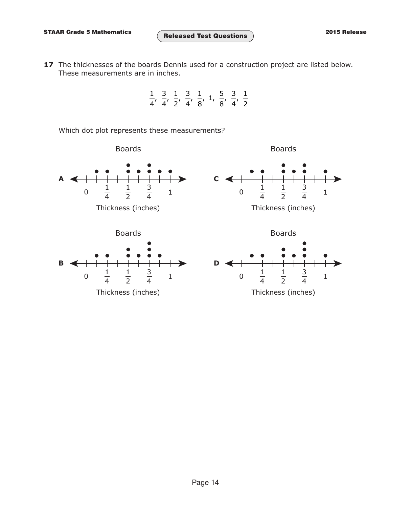17 The thicknesses of the boards Dennis used for a construction project are listed below. These measurements are in inches.



Which dot plot represents these measurements?

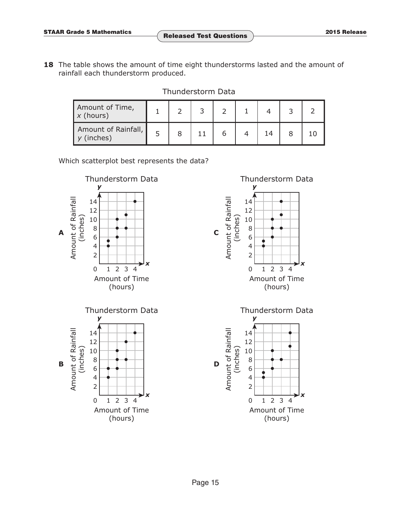**18** The table shows the amount of time eight thunderstorms lasted and the amount of rainfall each thunderstorm produced.

Thunderstorm Data

| Amount of Time,<br>$x$ (hours)      |  |  |    |  |
|-------------------------------------|--|--|----|--|
| Amount of Rainfall,<br>$y$ (inches) |  |  | 14 |  |

Which scatterplot best represents the data?





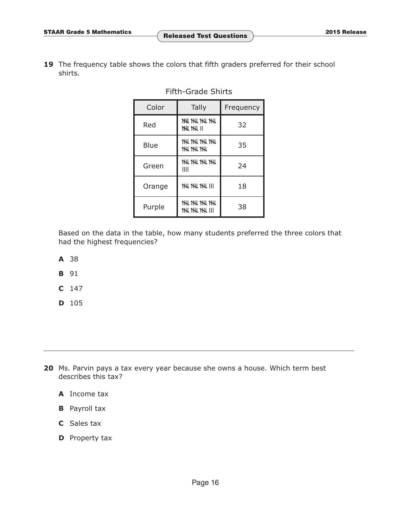19 The frequency table shows the colors that fifth graders preferred for their school shirts.

| Color  | Tally                               | Frequency |
|--------|-------------------------------------|-----------|
| Red    | ₩₩₩₩<br><b>THU THU II</b>           | 32        |
| Blue   | thi thi thi<br><b>THI THI THI</b>   | 35        |
| Green  | ₩₩₩₩<br>Ш                           | 24        |
| Orange | <b>THI THI THI</b>                  | 18        |
| Purple | thi thi thi<br><b>THI, THI, THI</b> | 38        |

Fifth-Grade Shirts

Based on the data in the table, how many students preferred the three colors that had the highest frequencies?

- **A** 38
- **B** 91
- **C** 147
- **D** 105

**20** Ms. Parvin pays a tax every year because she owns a house. Which term best describes this tax?

- **A** Income tax
- **B** Payroll tax
- **C** Sales tax
- **D** Property tax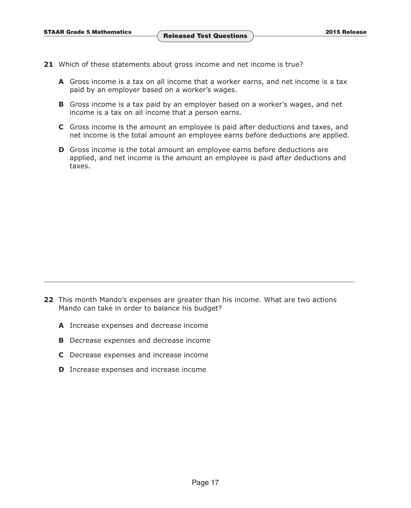- **21** Which of these statements about gross income and net income is true?
	- **A** Gross income is a tax on all income that a worker earns, and net income is a tax paid by an employer based on a worker's wages.
	- **B** Gross income is a tax paid by an employer based on a worker's wages, and net income is a tax on all income that a person earns.
	- **C** Gross income is the amount an employee is paid after deductions and taxes, and net income is the total amount an employee earns before deductions are applied.
	- **D** Gross income is the total amount an employee earns before deductions are applied, and net income is the amount an employee is paid after deductions and taxes.

- **22** This month Mando's expenses are greater than his income. What are two actions Mando can take in order to balance his budget?
	- **A** Increase expenses and decrease income
	- **B** Decrease expenses and decrease income
	- **C** Decrease expenses and increase income
	- **D** Increase expenses and increase income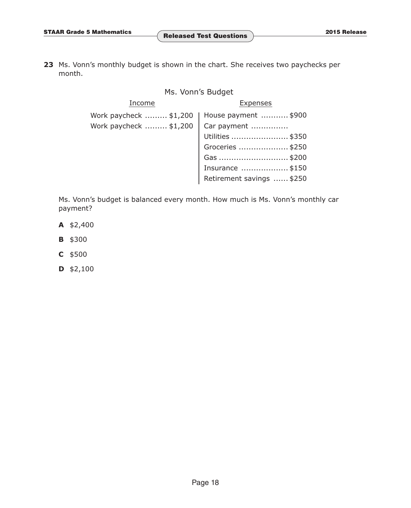**23** Ms. Vonn's monthly budget is shown in the chart. She receives two paychecks per month.

## Ms. Vonn's Budget

| Income                 | <b>Expenses</b>           |  |  |
|------------------------|---------------------------|--|--|
| Work paycheck  \$1,200 | House payment  \$900      |  |  |
| Work paycheck  \$1,200 | Car payment               |  |  |
|                        | Utilities  \$350          |  |  |
|                        | Groceries  \$250          |  |  |
|                        | Gas \$200                 |  |  |
|                        | Insurance \$150           |  |  |
|                        | Retirement savings  \$250 |  |  |

Ms. Vonn's budget is balanced every month. How much is Ms. Vonn's monthly car payment?

- **A** \$2,400
- **B** \$300
- **C** \$500
- **D** \$2,100